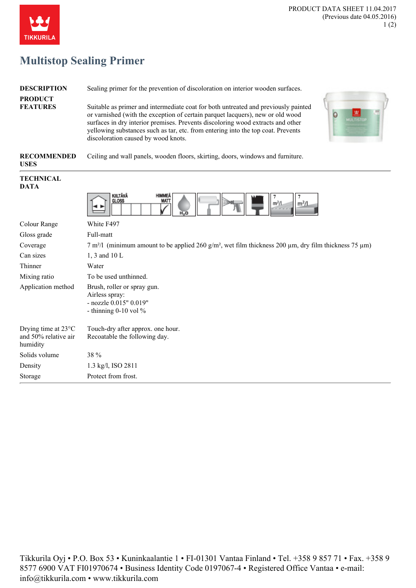

## **Multistop Sealing Primer**

**TIKKURILA** 

| <b>DESCRIPTION</b>                                                | Sealing primer for the prevention of discoloration on interior wooden surfaces.                                                                                                                                                                                                                                                                                                         |
|-------------------------------------------------------------------|-----------------------------------------------------------------------------------------------------------------------------------------------------------------------------------------------------------------------------------------------------------------------------------------------------------------------------------------------------------------------------------------|
| <b>PRODUCT</b><br><b>FEATURES</b>                                 | Suitable as primer and intermediate coat for both untreated and previously painted<br>or varnished (with the exception of certain parquet lacquers), new or old wood<br>O<br>surfaces in dry interior premises. Prevents discoloring wood extracts and other<br>yellowing substances such as tar, etc. from entering into the top coat. Prevents<br>discoloration caused by wood knots. |
| <b>RECOMMENDED</b><br><b>USES</b>                                 | Ceiling and wall panels, wooden floors, skirting, doors, windows and furniture.                                                                                                                                                                                                                                                                                                         |
| <b>TECHNICAL</b><br><b>DATA</b>                                   |                                                                                                                                                                                                                                                                                                                                                                                         |
|                                                                   | KIILTÄVÄ<br><b>HIMMEA</b><br>MATT<br><b>GLOSS</b><br>m <sup>2</sup> /l<br>m <sup>2</sup> /l<br>$H_2O$                                                                                                                                                                                                                                                                                   |
| Colour Range                                                      | White F497                                                                                                                                                                                                                                                                                                                                                                              |
| Gloss grade                                                       | Full-matt                                                                                                                                                                                                                                                                                                                                                                               |
| Coverage                                                          | $7 \text{ m}^2$ /I (minimum amount to be applied 260 g/m <sup>2</sup> , wet film thickness 200 µm, dry film thickness 75 µm)                                                                                                                                                                                                                                                            |
| Can sizes                                                         | 1, 3 and 10 L                                                                                                                                                                                                                                                                                                                                                                           |
| Thinner                                                           | Water                                                                                                                                                                                                                                                                                                                                                                                   |
| Mixing ratio                                                      | To be used unthinned.                                                                                                                                                                                                                                                                                                                                                                   |
| Application method                                                | Brush, roller or spray gun.<br>Airless spray:<br>- nozzle 0.015" 0.019"<br>- thinning $0-10$ vol %                                                                                                                                                                                                                                                                                      |
| Drying time at $23^{\circ}$ C<br>and 50% relative air<br>humidity | Touch-dry after approx. one hour.<br>Recoatable the following day.                                                                                                                                                                                                                                                                                                                      |
| Solids volume                                                     | 38 %                                                                                                                                                                                                                                                                                                                                                                                    |
| Density                                                           | 1.3 kg/l, ISO 2811                                                                                                                                                                                                                                                                                                                                                                      |
| Storage                                                           | Protect from frost.                                                                                                                                                                                                                                                                                                                                                                     |